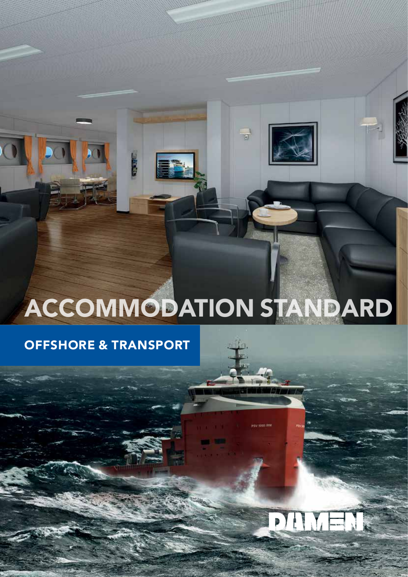# ACCOMMODATION STANDARD

 $\begin{array}{c} \hline \end{array}$ 

 $\mathbf{P}$ Ê

### OFFSHORE & TRANSPORT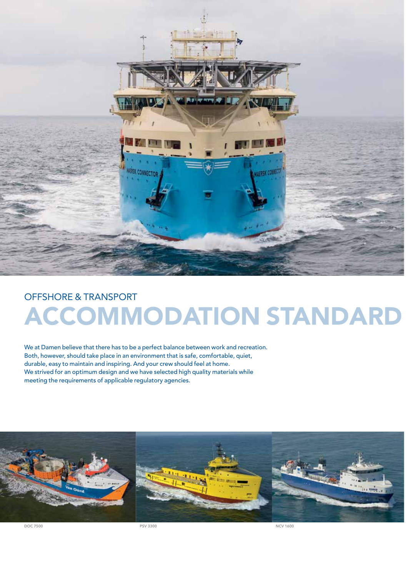

### OFFSHORE & TRANSPORT ACCOMMODATION STANDARD

We at Damen believe that there has to be a perfect balance between work and recreation. Both, however, should take place in an environment that is safe, comfortable, quiet, durable, easy to maintain and inspiring. And your crew should feel at home. We strived for an optimum design and we have selected high quality materials while meeting the requirements of applicable regulatory agencies.



DOC 7500 PSV 3300 NCV 1600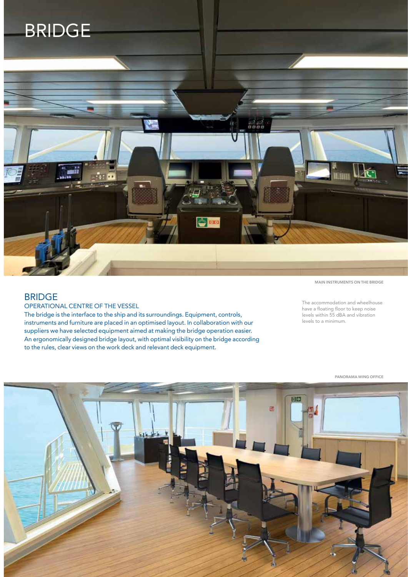

#### BRIDGE

OPERATIONAL CENTRE OF THE VESSEL

The bridge is the interface to the ship and its surroundings. Equipment, controls, instruments and furniture are placed in an optimised layout. In collaboration with our suppliers we have selected equipment aimed at making the bridge operation easier. An ergonomically designed bridge layout, with optimal visibility on the bridge according to the rules, clear views on the work deck and relevant deck equipment.

MAIN INSTRUMENTS ON THE BRIDGE

The accommodation and wheelhouse have a floating floor to keep noise levels within 55 dBA and vibration levels to a minimum.

PANORAMA WING OFFICE

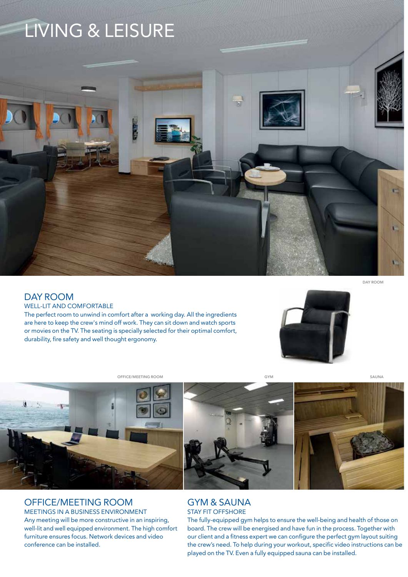## LIVING & LEISURE



#### DAY ROOM

#### WELL-LIT AND COMFORTABLE

The perfect room to unwind in comfort after a working day. All the ingredients are here to keep the crew's mind off work. They can sit down and watch sports or movies on the TV. The seating is specially selected for their optimal comfort, durability, fire safety and well thought ergonomy.



OFFICE/MEETING ROOM COMPANY SAUNA



#### OFFICE/MEETING ROOM

MEETINGS IN A BUSINESS ENVIRONMENT Any meeting will be more constructive in an inspiring, well-lit and well equipped environment. The high comfort furniture ensures focus. Network devices and video conference can be installed.

#### GYM & SAUNA STAY FIT OFFSHORE

The fully-equipped gym helps to ensure the well-being and health of those on board. The crew will be energised and have fun in the process. Together with our client and a fitness expert we can configure the perfect gym layout suiting the crew's need. To help during your workout, specific video instructions can be played on the TV. Even a fully equipped sauna can be installed.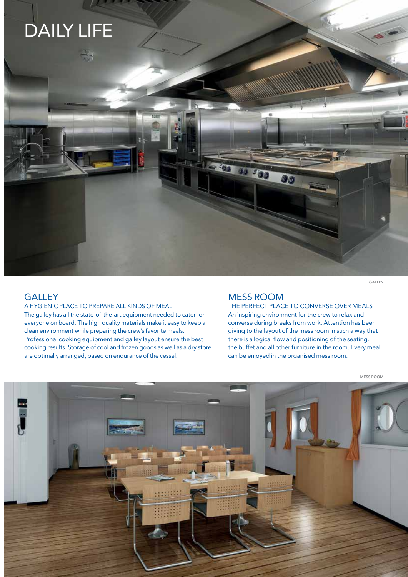# DAILY LIFE

#### **GALLEY**

A HYGIENIC PLACE TO PREPARE ALL KINDS OF MEAL

The galley has all the state-of-the-art equipment needed to cater for everyone on board. The high quality materials make it easy to keep a clean environment while preparing the crew's favorite meals. Professional cooking equipment and galley layout ensure the best cooking results. Storage of cool and frozen goods as well as a dry store are optimally arranged, based on endurance of the vessel.

#### MESS ROOM

33 200

60

 $\mathbf{w}$ 

THE PERFECT PLACE TO CONVERSE OVER MEALS An inspiring environment for the crew to relax and converse during breaks from work. Attention has been giving to the layout of the mess room in such a way that there is a logical flow and positioning of the seating, the buffet and all other furniture in the room. Every meal can be enjoyed in the organised mess room.

MESS ROOM

GALLEY

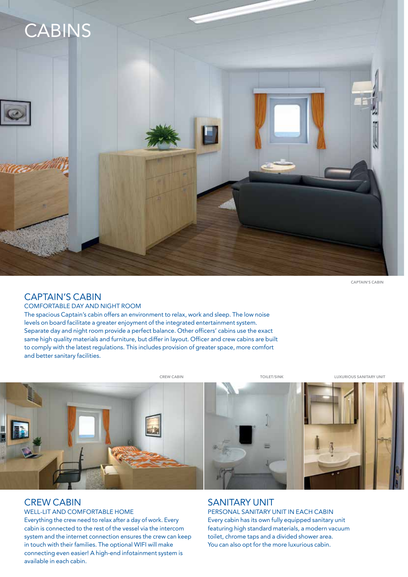

CAPTAIN'S CABIN

#### CAPTAIN'S CABIN

COMFORTABLE DAY AND NIGHT ROOM

The spacious Captain's cabin offers an environment to relax, work and sleep. The low noise levels on board facilitate a greater enjoyment of the integrated entertainment system. Separate day and night room provide a perfect balance. Other officers' cabins use the exact same high quality materials and furniture, but differ in layout. Officer and crew cabins are built to comply with the latest regulations. This includes provision of greater space, more comfort and better sanitary facilities.

CREW CABIN TOILET/SINK LUXURIOUS SANITARY UNIT



#### CREW CABIN

#### WELL-LIT AND COMFORTABLE HOME

Everything the crew need to relax after a day of work. Every cabin is connected to the rest of the vessel via the intercom system and the internet connection ensures the crew can keep in touch with their families. The optional WIFI will make connecting even easier! A high-end infotainment system is available in each cabin.

#### SANITARY UNIT

PERSONAL SANITARY UNIT IN EACH CABIN Every cabin has its own fully equipped sanitary unit featuring high standard materials, a modern vacuum toilet, chrome taps and a divided shower area. You can also opt for the more luxurious cabin.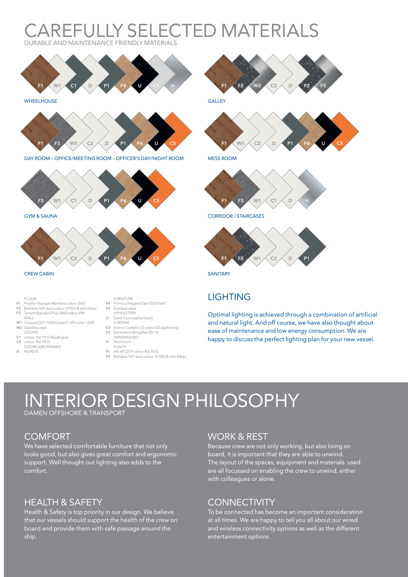#### **AREFULLY SELECTED MATERIALS** DURABLE AND MAINTENANCE FRIENDLY MATERIALS



**WHEELHOUSE** 



DAY ROOM – OFFICE/MEETING ROOM – OFFICER'S DAY/NIGHT ROOM



GYM & SAUNA



#### FLOOR

WALL

- 
- F1 Polyflor Voyager Maritime colour 2042 F2 Bolideck 525 deco colour S7502-B with flakes F3 Tarkett Standard Plus 3068 colour 498
	-
- W1 Gislaved 027-1058/Dobel F 105 (color 1235) W<sub>2</sub> Stainless steel
- **CEILING**
- C1 colour: Ral 7012 Basalt grey colour: Ral 9010
- DOORS AND FRAMES
- D Ral 9010
- FURNITURE F4 Formica Elegant Oak F5374 NAT
- F5 Stainless steel UPHOLSTERY
- U Seats Faux Leather black
- CURTAIN
- C4 Artimo Castello CS colour E2 (darkening)<br>C5 Sunscreens Bergaflex SG 10
- C5 Sunscreens Bergaflex SG 10 HANDRAILING
- H Aluminium PLINTH
- 
- P1 HA-eff 3219 colour Ral 7012<br>P2 Bolideck 525 deco colour S7 P2 Bolideck 525 deco colour S7502-B with flakes



**GALLEY** 



MESS ROOM



CORRIDOR / STAIRCASES



SANITARY

#### **LIGHTING**

Optimal lighting is achieved through a combination of artificial and natural light. And off course, we have also thought about ease of maintenance and low energy consumption. We are happy to discuss the perfect lighting plan for your new vessel.

## ERIOR DESIGN PHILOSOPHY

DAMEN OFFSHORE & TRANSPORT

#### **COMFORT**

We have selected comfortable furniture that not only looks good, but also gives great comfort and ergonomic support. Well thought out lighting also adds to the comfort.

#### HEALTH & SAFETY

Health & Safety is top priority in our design. We believe that our vessels should support the health of the crew on board and provide them with safe passage around the ship.

#### WORK & REST

Because crew are not only working, but also living on board, it is important that they are able to unwind. The layout of the spaces, equipment and materials used are all focussed on enabling the crew to unwind, either with colleagues or alone.

#### **CONNECTIVITY**

To be connected has become an important consideration at all times. We are happy to tell you all about our wired and wireless connectivity options as well as the different entertainment options.